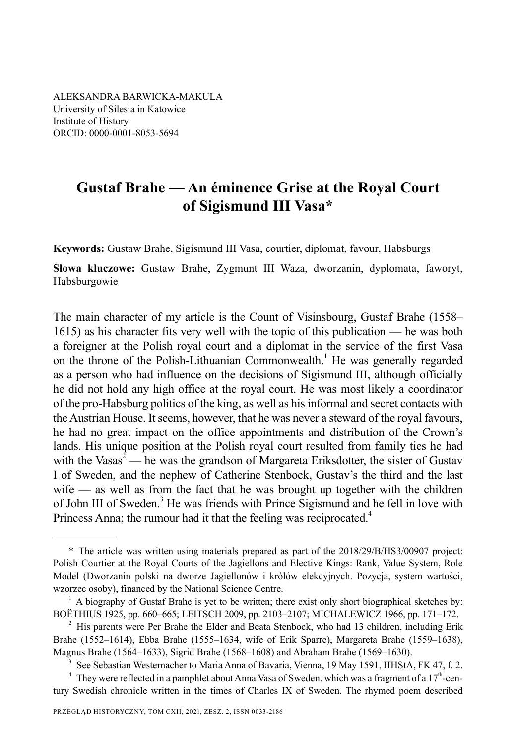ALEKSANDRA BARWICKA-MAKULA University of Silesia in Katowice Institute of History ORCID: 0000-0001-8053-5694

# **Gustaf Brahe — An éminence Grise at the Royal Court of Sigismund III Vasa\***

**Keywords:** Gustaw Brahe, Sigismund III Vasa, courtier, diplomat, favour, Habsburgs

**Słowa kluczowe:** Gustaw Brahe, Zygmunt III Waza, dworzanin, dyplomata, faworyt, Habsburgowie

The main character of my article is the Count of Visinsbourg, Gustaf Brahe (1558– 1615) as his character fits very well with the topic of this publication — he was both a foreigner at the Polish royal court and a diplomat in the service of the first Vasa on the throne of the Polish-Lithuanian Commonwealth.<sup>1</sup> He was generally regarded as a person who had influence on the decisions of Sigismund III, although officially he did not hold any high office at the royal court. He was most likely a coordinator of the pro-Habsburg politics of the king, as well as his informal and secret contacts with the Austrian House. It seems, however, that he was never a steward of the royal favours, he had no great impact on the office appointments and distribution of the Crown's lands. His unique position at the Polish royal court resulted from family ties he had with the Vasas<sup>2</sup> — he was the grandson of Margareta Eriksdotter, the sister of Gustav I of Sweden, and the nephew of Catherine Stenbock, Gustav's the third and the last wife — as well as from the fact that he was brought up together with the children of John III of Sweden.<sup>3</sup> He was friends with Prince Sigismund and he fell in love with Princess Anna; the rumour had it that the feeling was reciprocated.<sup>4</sup>

<sup>\*</sup> The article was written using materials prepared as part of the 2018/29/B/HS3/00907 project: Polish Courtier at the Royal Courts of the Jagiellons and Elective Kings: Rank, Value System, Role Model (Dworzanin polski na dworze Jagiellonów i królów elekcyjnych. Pozycja, system wartości, wzorzec osoby), financed by the National Science Centre.

 $1$  A biography of Gustaf Brahe is yet to be written; there exist only short biographical sketches by: BOËTHIUS 1925, pp. 660–665; LEITSCH 2009, pp. 2103–2107; MICHALEWICZ 1966, pp. 171–172.

 $2$  His parents were Per Brahe the Elder and Beata Stenbock, who had 13 children, including Erik Brahe (1552–1614), Ebba Brahe (1555–1634, wife of Erik Sparre), Margareta Brahe (1559–1638), Magnus Brahe (1564–1633), Sigrid Brahe (1568–1608) and Abraham Brahe (1569–1630).

<sup>3</sup> See Sebastian Westernacher to Maria Anna of Bavaria, Vienna, 19 May 1591, HHStA, FK 47, f. 2.

 $^4$  They were reflected in a pamphlet about Anna Vasa of Sweden, which was a fragment of a 17<sup>th</sup>-century Swedish chronicle written in the times of Charles IX of Sweden. The rhymed poem described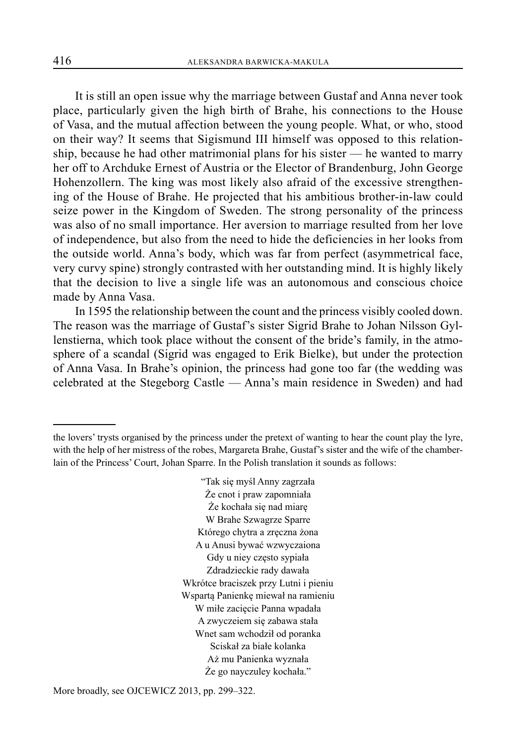It is still an open issue why the marriage between Gustaf and Anna never took place, particularly given the high birth of Brahe, his connections to the House of Vasa, and the mutual affection between the young people. What, or who, stood on their way? It seems that Sigismund III himself was opposed to this relationship, because he had other matrimonial plans for his sister — he wanted to marry her off to Archduke Ernest of Austria or the Elector of Brandenburg, John George Hohenzollern. The king was most likely also afraid of the excessive strengthening of the House of Brahe. He projected that his ambitious brother-in-law could seize power in the Kingdom of Sweden. The strong personality of the princess was also of no small importance. Her aversion to marriage resulted from her love of independence, but also from the need to hide the deficiencies in her looks from the outside world. Anna's body, which was far from perfect (asymmetrical face, very curvy spine) strongly contrasted with her outstanding mind. It is highly likely that the decision to live a single life was an autonomous and conscious choice made by Anna Vasa.

In 1595 the relationship between the count and the princess visibly cooled down. The reason was the marriage of Gustaf's sister Sigrid Brahe to Johan Nilsson Gyllenstierna, which took place without the consent of the bride's family, in the atmosphere of a scandal (Sigrid was engaged to Erik Bielke), but under the protection of Anna Vasa. In Brahe's opinion, the princess had gone too far (the wedding was celebrated at the Stegeborg Castle — Anna's main residence in Sweden) and had

"Tak się myśl Anny zagrzała Że cnot i praw zapomniała Że kochała się nad miarę W Brahe Szwagrze Sparre Którego chytra a zręczna żona A u Anusi bywać wzwyczaiona Gdy u niey często sypiała Zdradzieckie rady dawała Wkrótce braciszek przy Lutni i pieniu Wspartą Panienkę miewał na ramieniu W miłe zacięcie Panna wpadała A zwyczeiem się zabawa stała Wnet sam wchodził od poranka Sciskał za białe kolanka Aż mu Panienka wyznała Że go nayczuley kochała."

the lovers' trysts organised by the princess under the pretext of wanting to hear the count play the lyre, with the help of her mistress of the robes, Margareta Brahe, Gustaf's sister and the wife of the chamberlain of the Princess' Court, Johan Sparre. In the Polish translation it sounds as follows: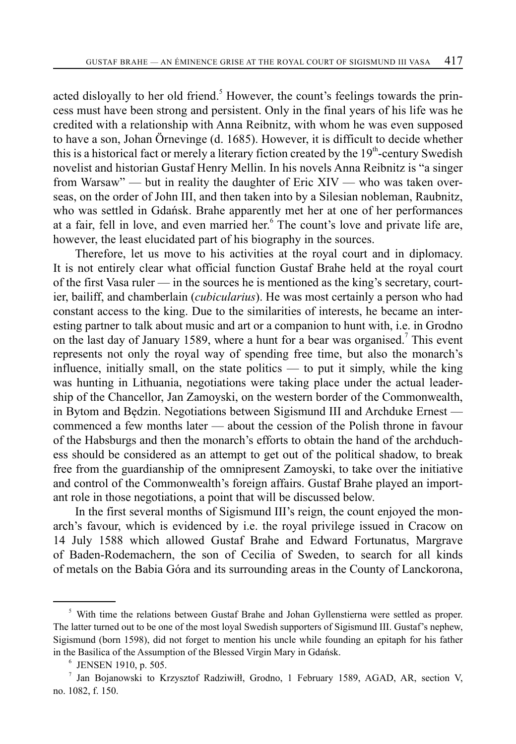acted disloyally to her old friend.<sup>5</sup> However, the count's feelings towards the princess must have been strong and persistent. Only in the final years of his life was he credited with a relationship with Anna Reibnitz, with whom he was even supposed to have a son, Johan Örnevinge (d. 1685). However, it is difficult to decide whether this is a historical fact or merely a literary fiction created by the  $19<sup>th</sup>$ -century Swedish novelist and historian Gustaf Henry Mellin. In his novels Anna Reibnitz is "a singer from Warsaw" — but in reality the daughter of Eric XIV — who was taken overseas, on the order of John III, and then taken into by a Silesian nobleman, Raubnitz, who was settled in Gdańsk. Brahe apparently met her at one of her performances at a fair, fell in love, and even married her.<sup>6</sup> The count's love and private life are, however, the least elucidated part of his biography in the sources.

Therefore, let us move to his activities at the royal court and in diplomacy. It is not entirely clear what official function Gustaf Brahe held at the royal court of the first Vasa ruler — in the sources he is mentioned as the king's secretary, courtier, bailiff, and chamberlain (*cubicularius*). He was most certainly a person who had constant access to the king. Due to the similarities of interests, he became an interesting partner to talk about music and art or a companion to hunt with, i.e. in Grodno on the last day of January 1589, where a hunt for a bear was organised.<sup>7</sup> This event represents not only the royal way of spending free time, but also the monarch's influence, initially small, on the state politics — to put it simply, while the king was hunting in Lithuania, negotiations were taking place under the actual leadership of the Chancellor, Jan Zamoyski, on the western border of the Commonwealth, in Bytom and Będzin. Negotiations between Sigismund III and Archduke Ernest commenced a few months later — about the cession of the Polish throne in favour of the Habsburgs and then the monarch's efforts to obtain the hand of the archduchess should be considered as an attempt to get out of the political shadow, to break free from the guardianship of the omnipresent Zamoyski, to take over the initiative and control of the Commonwealth's foreign affairs. Gustaf Brahe played an important role in those negotiations, a point that will be discussed below.

In the first several months of Sigismund III's reign, the count enjoyed the monarch's favour, which is evidenced by i.e. the royal privilege issued in Cracow on 14 July 1588 which allowed Gustaf Brahe and Edward Fortunatus, Margrave of Baden-Rodemachern, the son of Cecilia of Sweden, to search for all kinds of metals on the Babia Góra and its surrounding areas in the County of Lanckorona,

<sup>&</sup>lt;sup>5</sup> With time the relations between Gustaf Brahe and Johan Gyllenstierna were settled as proper. The latter turned out to be one of the most loyal Swedish supporters of Sigismund III. Gustaf's nephew, Sigismund (born 1598), did not forget to mention his uncle while founding an epitaph for his father in the Basilica of the Assumption of the Blessed Virgin Mary in Gdańsk.

 $6$  JENSEN 1910, p. 505.

<sup>7</sup> Jan Bojanowski to Krzysztof Radziwiłł, Grodno, 1 February 1589, AGAD, AR, section V, no. 1082, f. 150.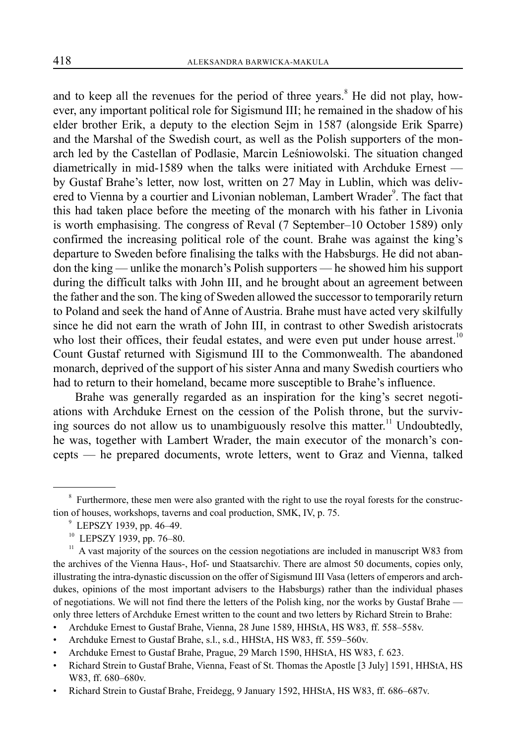and to keep all the revenues for the period of three years.<sup>8</sup> He did not play, however, any important political role for Sigismund III; he remained in the shadow of his elder brother Erik, a deputy to the election Sejm in 1587 (alongside Erik Sparre) and the Marshal of the Swedish court, as well as the Polish supporters of the monarch led by the Castellan of Podlasie, Marcin Leśniowolski. The situation changed diametrically in mid-1589 when the talks were initiated with Archduke Ernest by Gustaf Brahe's letter, now lost, written on 27 May in Lublin, which was delivered to Vienna by a courtier and Livonian nobleman, Lambert Wrader<sup>9</sup>. The fact that this had taken place before the meeting of the monarch with his father in Livonia is worth emphasising. The congress of Reval (7 September–10 October 1589) only confirmed the increasing political role of the count. Brahe was against the king's departure to Sweden before finalising the talks with the Habsburgs. He did not abandon the king — unlike the monarch's Polish supporters — he showed him his support during the difficult talks with John III, and he brought about an agreement between the father and the son. The king of Sweden allowed the successor to temporarily return to Poland and seek the hand of Anne of Austria. Brahe must have acted very skilfully since he did not earn the wrath of John III, in contrast to other Swedish aristocrats who lost their offices, their feudal estates, and were even put under house arrest.<sup>10</sup> Count Gustaf returned with Sigismund III to the Commonwealth. The abandoned monarch, deprived of the support of his sister Anna and many Swedish courtiers who had to return to their homeland, became more susceptible to Brahe's influence.

Brahe was generally regarded as an inspiration for the king's secret negotiations with Archduke Ernest on the cession of the Polish throne, but the surviving sources do not allow us to unambiguously resolve this matter.<sup>11</sup> Undoubtedly, he was, together with Lambert Wrader, the main executor of the monarch's concepts — he prepared documents, wrote letters, went to Graz and Vienna, talked

 $8$  Furthermore, these men were also granted with the right to use the royal forests for the construction of houses, workshops, taverns and coal production, SMK, IV, p. 75.

 $9$  LEPSZY 1939, pp. 46–49.

<sup>&</sup>lt;sup>10</sup> LEPSZY 1939, pp. 76-80.

<sup>&</sup>lt;sup>11</sup> A vast majority of the sources on the cession negotiations are included in manuscript W83 from the archives of the Vienna Haus-, Hof- und Staatsarchiv. There are almost 50 documents, copies only, illustrating the intra-dynastic discussion on the offer of Sigismund III Vasa (letters of emperors and archdukes, opinions of the most important advisers to the Habsburgs) rather than the individual phases of negotiations. We will not find there the letters of the Polish king, nor the works by Gustaf Brahe only three letters of Archduke Ernest written to the count and two letters by Richard Strein to Brahe:

<sup>•</sup> Archduke Ernest to Gustaf Brahe, Vienna, 28 June 1589, HHStA, HS W83, ff. 558–558v.

<sup>•</sup> Archduke Ernest to Gustaf Brahe, s.l., s.d., HHStA, HS W83, ff. 559–560v.

<sup>•</sup> Archduke Ernest to Gustaf Brahe, Prague, 29 March 1590, HHStA, HS W83, f. 623.

<sup>•</sup> Richard Strein to Gustaf Brahe, Vienna, Feast of St. Thomas the Apostle [3 July] 1591, HHStA, HS W83, ff. 680–680v.

<sup>•</sup> Richard Strein to Gustaf Brahe, Freidegg, 9 January 1592, HHStA, HS W83, ff. 686–687v.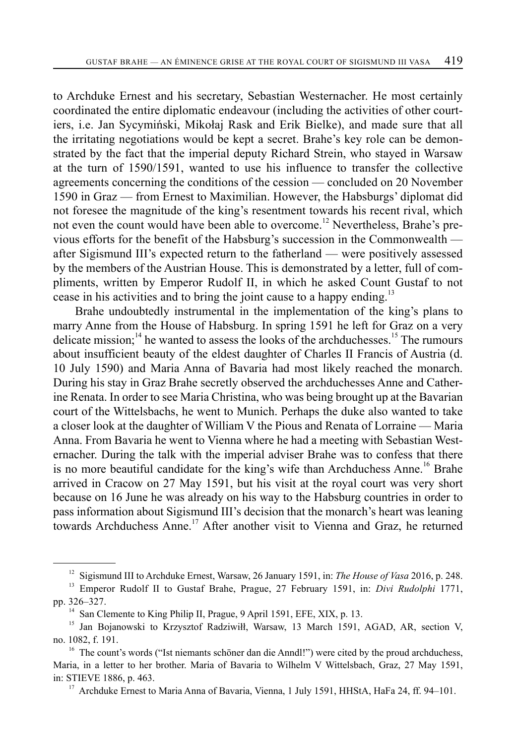to Archduke Ernest and his secretary, Sebastian Westernacher. He most certainly coordinated the entire diplomatic endeavour (including the activities of other courtiers, i.e. Jan Sycymiński, Mikołaj Rask and Erik Bielke), and made sure that all the irritating negotiations would be kept a secret. Brahe's key role can be demonstrated by the fact that the imperial deputy Richard Strein, who stayed in Warsaw at the turn of 1590/1591, wanted to use his influence to transfer the collective agreements concerning the conditions of the cession — concluded on 20 November 1590 in Graz — from Ernest to Maximilian. However, the Habsburgs' diplomat did not foresee the magnitude of the king's resentment towards his recent rival, which not even the count would have been able to overcome.<sup>12</sup> Nevertheless, Brahe's previous efforts for the benefit of the Habsburg's succession in the Commonwealth after Sigismund III's expected return to the fatherland — were positively assessed by the members of the Austrian House. This is demonstrated by a letter, full of compliments, written by Emperor Rudolf II, in which he asked Count Gustaf to not cease in his activities and to bring the joint cause to a happy ending.<sup>13</sup>

Brahe undoubtedly instrumental in the implementation of the king's plans to marry Anne from the House of Habsburg. In spring 1591 he left for Graz on a very delicate mission; $14$  he wanted to assess the looks of the archduchesses.<sup>15</sup> The rumours about insufficient beauty of the eldest daughter of Charles II Francis of Austria (d. 10 July 1590) and Maria Anna of Bavaria had most likely reached the monarch. During his stay in Graz Brahe secretly observed the archduchesses Anne and Catherine Renata. In order to see Maria Christina, who was being brought up at the Bavarian court of the Wittelsbachs, he went to Munich. Perhaps the duke also wanted to take a closer look at the daughter of William V the Pious and Renata of Lorraine — Maria Anna. From Bavaria he went to Vienna where he had a meeting with Sebastian Westernacher. During the talk with the imperial adviser Brahe was to confess that there is no more beautiful candidate for the king's wife than Archduchess Anne.<sup>16</sup> Brahe arrived in Cracow on 27 May 1591, but his visit at the royal court was very short because on 16 June he was already on his way to the Habsburg countries in order to pass information about Sigismund III's decision that the monarch's heart was leaning towards Archduchess Anne.<sup>17</sup> After another visit to Vienna and Graz, he returned

<sup>12</sup> Sigismund III to Archduke Ernest, Warsaw, 26 January 1591, in: *The House of Vasa* 2016, p. 248.

<sup>13</sup> Emperor Rudolf II to Gustaf Brahe, Prague, 27 February 1591, in: *Divi Rudolphi* 1771, pp. 326–327.

<sup>&</sup>lt;sup>14</sup> San Clemente to King Philip II, Prague, 9 April 1591, EFE, XIX, p. 13.

<sup>&</sup>lt;sup>15</sup> Jan Bojanowski to Krzysztof Radziwiłł, Warsaw, 13 March 1591, AGAD, AR, section V, no. 1082, f. 191.

<sup>&</sup>lt;sup>16</sup> The count's words ("Ist niemants schöner dan die Anndl!") were cited by the proud archduchess, Maria, in a letter to her brother. Maria of Bavaria to Wilhelm V Wittelsbach, Graz, 27 May 1591, in: STIEVE 1886, p. 463.<br><sup>17</sup> Archduke Ernest to Maria Anna of Bavaria, Vienna, 1 July 1591, HHStA, HaFa 24, ff. 94–101.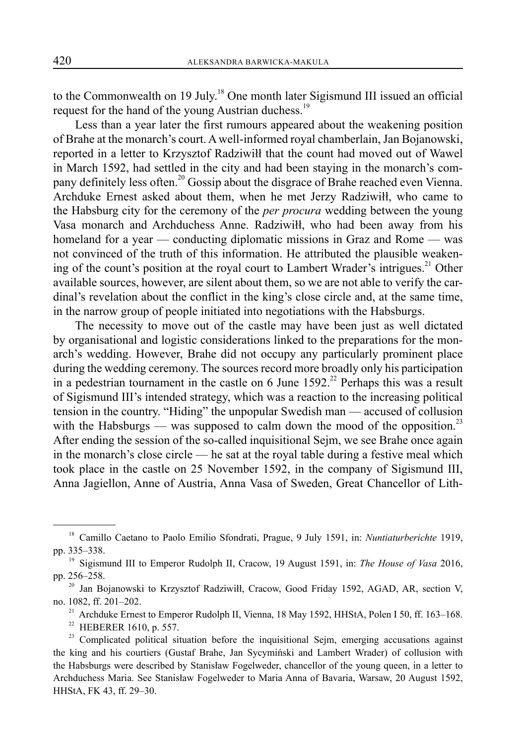to the Commonwealth on 19 July.<sup>18</sup> One month later Sigismund III issued an official request for the hand of the young Austrian duchess.<sup>19</sup>

Less than a year later the first rumours appeared about the weakening position of Brahe at the monarch's court. A well-informed royal chamberlain, Jan Bojanowski, reported in a letter to Krzysztof Radziwiłł that the count had moved out of Wawel in March 1592, had settled in the city and had been staying in the monarch's company definitely less often.<sup>20</sup> Gossip about the disgrace of Brahe reached even Vienna. Archduke Ernest asked about them, when he met Jerzy Radziwiłł, who came to the Habsburg city for the ceremony of the *per procura* wedding between the young Vasa monarch and Archduchess Anne. Radziwiłł, who had been away from his homeland for a year — conducting diplomatic missions in Graz and Rome — was not convinced of the truth of this information. He attributed the plausible weakening of the count's position at the royal court to Lambert Wrader's intrigues.<sup>21</sup> Other available sources, however, are silent about them, so we are not able to verify the cardinal's revelation about the conflict in the king's close circle and, at the same time, in the narrow group of people initiated into negotiations with the Habsburgs.

The necessity to move out of the castle may have been just as well dictated by organisational and logistic considerations linked to the preparations for the monarch's wedding. However, Brahe did not occupy any particularly prominent place during the wedding ceremony. The sources record more broadly only his participation in a pedestrian tournament in the castle on 6 June  $1592<sup>22</sup>$  Perhaps this was a result of Sigismund III's intended strategy, which was a reaction to the increasing political tension in the country. "Hiding" the unpopular Swedish man — accused of collusion with the Habsburgs — was supposed to calm down the mood of the opposition.<sup>23</sup> After ending the session of the so-called inquisitional Sejm, we see Brahe once again in the monarch's close circle — he sat at the royal table during a festive meal which took place in the castle on 25 November 1592, in the company of Sigismund III, Anna Jagiellon, Anne of Austria, Anna Vasa of Sweden, Great Chancellor of Lith-

<sup>18</sup> Camillo Caetano to Paolo Emilio Sfondrati, Prague, 9 July 1591, in: *Nuntiaturberichte* 1919, pp. 335–338. 19 Sigismund III to Emperor Rudolph II, Cracow, 19 August 1591, in: *The House of Vasa* 2016,

pp. 256–258.

<sup>&</sup>lt;sup>20</sup> Jan Bojanowski to Krzysztof Radziwiłł, Cracow, Good Friday 1592, AGAD, AR, section V, no. 1082, ff. 201–202.

<sup>21</sup> Archduke Ernest to Emperor Rudolph II, Vienna, 18 May 1592, HHStA, Polen I 50, ff. 163–168.

<sup>&</sup>lt;sup>22</sup> HEBERER 1610, p. 557.

 $23$  Complicated political situation before the inquisitional Sejm, emerging accusations against the king and his courtiers (Gustaf Brahe, Jan Sycymiński and Lambert Wrader) of collusion with the Habsburgs were described by Stanisław Fogelweder, chancellor of the young queen, in a letter to Archduchess Maria. See Stanisław Fogelweder to Maria Anna of Bavaria, Warsaw, 20 August 1592, HHStA, FK 43, ff. 29–30.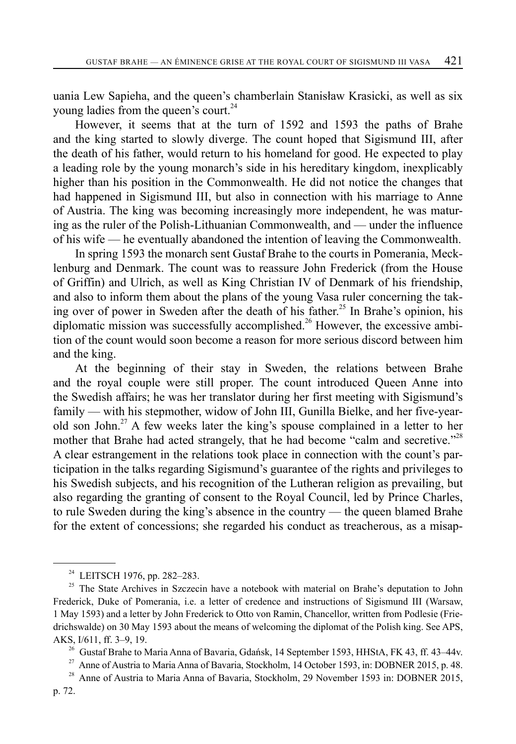uania Lew Sapieha, and the queen's chamberlain Stanisław Krasicki, as well as six young ladies from the queen's court.<sup>24</sup>

However, it seems that at the turn of 1592 and 1593 the paths of Brahe and the king started to slowly diverge. The count hoped that Sigismund III, after the death of his father, would return to his homeland for good. He expected to play a leading role by the young monarch's side in his hereditary kingdom, inexplicably higher than his position in the Commonwealth. He did not notice the changes that had happened in Sigismund III, but also in connection with his marriage to Anne of Austria. The king was becoming increasingly more independent, he was maturing as the ruler of the Polish-Lithuanian Commonwealth, and — under the influence of his wife — he eventually abandoned the intention of leaving the Commonwealth.

In spring 1593 the monarch sent Gustaf Brahe to the courts in Pomerania, Mecklenburg and Denmark. The count was to reassure John Frederick (from the House of Griffin) and Ulrich, as well as King Christian IV of Denmark of his friendship, and also to inform them about the plans of the young Vasa ruler concerning the taking over of power in Sweden after the death of his father.<sup>25</sup> In Brahe's opinion, his diplomatic mission was successfully accomplished.<sup>26</sup> However, the excessive ambition of the count would soon become a reason for more serious discord between him and the king.

At the beginning of their stay in Sweden, the relations between Brahe and the royal couple were still proper. The count introduced Queen Anne into the Swedish affairs; he was her translator during her first meeting with Sigismund's family — with his stepmother, widow of John III, Gunilla Bielke, and her five-yearold son John.<sup>27</sup> A few weeks later the king's spouse complained in a letter to her mother that Brahe had acted strangely, that he had become "calm and secretive."<sup>28</sup> A clear estrangement in the relations took place in connection with the count's participation in the talks regarding Sigismund's guarantee of the rights and privileges to his Swedish subjects, and his recognition of the Lutheran religion as prevailing, but also regarding the granting of consent to the Royal Council, led by Prince Charles, to rule Sweden during the king's absence in the country — the queen blamed Brahe for the extent of concessions; she regarded his conduct as treacherous, as a misap-

<sup>27</sup> Anne of Austria to Maria Anna of Bavaria, Stockholm, 14 October 1593, in: DOBNER 2015, p. 48.

<sup>&</sup>lt;sup>24</sup> LEITSCH 1976, pp. 282-283.

<sup>&</sup>lt;sup>25</sup> The State Archives in Szczecin have a notebook with material on Brahe's deputation to John Frederick, Duke of Pomerania, i.e. a letter of credence and instructions of Sigismund III (Warsaw, 1 May 1593) and a letter by John Frederick to Otto von Ramin, Chancellor, written from Podlesie (Friedrichswalde) on 30 May 1593 about the means of welcoming the diplomat of the Polish king. See APS, AKS, I/611, ff. 3–9, 19.<br><sup>26</sup> Gustaf Brahe to Maria Anna of Bavaria, Gdańsk, 14 September 1593, HHStA, FK 43, ff. 43–44v.

<sup>&</sup>lt;sup>28</sup> Anne of Austria to Maria Anna of Bavaria, Stockholm, 29 November 1593 in: DOBNER 2015,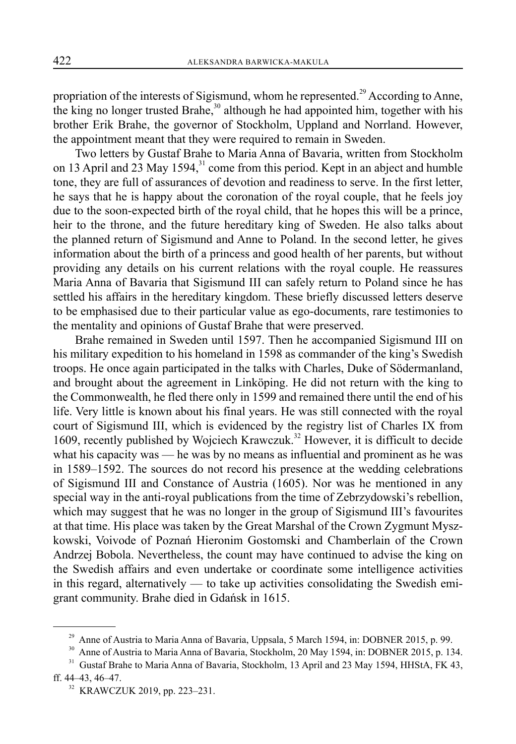propriation of the interests of Sigismund, whom he represented.<sup>29</sup> According to Anne, the king no longer trusted Brahe,  $30$  although he had appointed him, together with his brother Erik Brahe, the governor of Stockholm, Uppland and Norrland. However, the appointment meant that they were required to remain in Sweden.

Two letters by Gustaf Brahe to Maria Anna of Bavaria, written from Stockholm on 13 April and 23 May 1594,<sup>31</sup> come from this period. Kept in an abject and humble tone, they are full of assurances of devotion and readiness to serve. In the first letter, he says that he is happy about the coronation of the royal couple, that he feels joy due to the soon-expected birth of the royal child, that he hopes this will be a prince, heir to the throne, and the future hereditary king of Sweden. He also talks about the planned return of Sigismund and Anne to Poland. In the second letter, he gives information about the birth of a princess and good health of her parents, but without providing any details on his current relations with the royal couple. He reassures Maria Anna of Bavaria that Sigismund III can safely return to Poland since he has settled his affairs in the hereditary kingdom. These briefly discussed letters deserve to be emphasised due to their particular value as ego-documents, rare testimonies to the mentality and opinions of Gustaf Brahe that were preserved.

Brahe remained in Sweden until 1597. Then he accompanied Sigismund III on his military expedition to his homeland in 1598 as commander of the king's Swedish troops. He once again participated in the talks with Charles, Duke of Södermanland, and brought about the agreement in Linköping. He did not return with the king to the Commonwealth, he fled there only in 1599 and remained there until the end of his life. Very little is known about his final years. He was still connected with the royal court of Sigismund III, which is evidenced by the registry list of Charles IX from 1609, recently published by Wojciech Krawczuk.<sup>32</sup> However, it is difficult to decide what his capacity was — he was by no means as influential and prominent as he was in 1589–1592. The sources do not record his presence at the wedding celebrations of Sigismund III and Constance of Austria (1605). Nor was he mentioned in any special way in the anti-royal publications from the time of Zebrzydowski's rebellion, which may suggest that he was no longer in the group of Sigismund III's favourites at that time. His place was taken by the Great Marshal of the Crown Zygmunt Myszkowski, Voivode of Poznań Hieronim Gostomski and Chamberlain of the Crown Andrzej Bobola. Nevertheless, the count may have continued to advise the king on the Swedish affairs and even undertake or coordinate some intelligence activities in this regard, alternatively — to take up activities consolidating the Swedish emigrant community. Brahe died in Gdańsk in 1615.

<sup>&</sup>lt;sup>29</sup> Anne of Austria to Maria Anna of Bavaria, Uppsala, 5 March 1594, in: DOBNER 2015, p. 99.

<sup>30</sup> Anne of Austria to Maria Anna of Bavaria, Stockholm, 20 May 1594, in: DOBNER 2015, p. 134.

<sup>&</sup>lt;sup>31</sup> Gustaf Brahe to Maria Anna of Bavaria, Stockholm, 13 April and 23 May 1594, HHStA, FK 43, ff. 44–43, 46–47.

<sup>32</sup> KRAWCZUK 2019, pp. 223–231.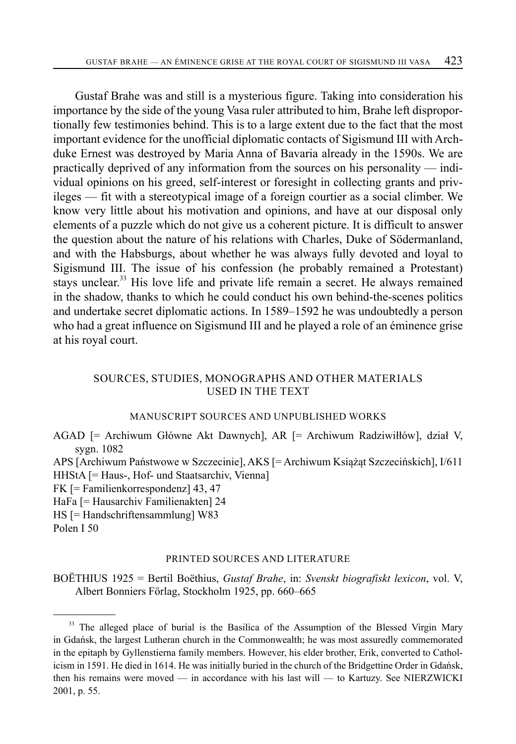Gustaf Brahe was and still is a mysterious figure. Taking into consideration his importance by the side of the young Vasa ruler attributed to him, Brahe left disproportionally few testimonies behind. This is to a large extent due to the fact that the most important evidence for the unofficial diplomatic contacts of Sigismund III with Archduke Ernest was destroyed by Maria Anna of Bavaria already in the 1590s. We are practically deprived of any information from the sources on his personality — individual opinions on his greed, self-interest or foresight in collecting grants and privileges — fit with a stereotypical image of a foreign courtier as a social climber. We know very little about his motivation and opinions, and have at our disposal only elements of a puzzle which do not give us a coherent picture. It is difficult to answer the question about the nature of his relations with Charles, Duke of Södermanland, and with the Habsburgs, about whether he was always fully devoted and loyal to Sigismund III. The issue of his confession (he probably remained a Protestant) stays unclear. $33$  His love life and private life remain a secret. He always remained in the shadow, thanks to which he could conduct his own behind-the-scenes politics and undertake secret diplomatic actions. In 1589–1592 he was undoubtedly a person who had a great influence on Sigismund III and he played a role of an éminence grise at his royal court.

## SOURCES, STUDIES, MONOGRAPHS AND OTHER MATERIALS USED IN THE TEXT

#### MANUSCRIPT SOURCES AND UNPUBLISHED WORKS

AGAD [= Archiwum Główne Akt Dawnych], AR [= Archiwum Radziwiłłów], dział V, sygn. 1082

APS [Archiwum Państwowe w Szczecinie], AKS [= Archiwum Książąt Szczecińskich], I/611 HHStA [= Haus-, Hof- und Staatsarchiv, Vienna]

FK [= Familienkorrespondenz] 43, 47

HaFa [= Hausarchiv Familienakten] 24

HS [= Handschriftensammlung] W83

Polen I 50

#### PRINTED SOURCES AND LITERATURE

BOËTHIUS 1925 = Bertil Boëthius, *Gustaf Brahe*, in: *Svenskt biografiskt lexicon*, vol. V, Albert Bonniers Förlag, Stockholm 1925, pp. 660–665

<sup>&</sup>lt;sup>33</sup> The alleged place of burial is the Basilica of the Assumption of the Blessed Virgin Mary in Gdańsk, the largest Lutheran church in the Commonwealth; he was most assuredly commemorated in the epitaph by Gyllenstierna family members. However, his elder brother, Erik, converted to Catholicism in 1591. He died in 1614. He was initially buried in the church of the Bridgettine Order in Gdańsk, then his remains were moved — in accordance with his last will — to Kartuzy. See NIERZWICKI 2001, p. 55.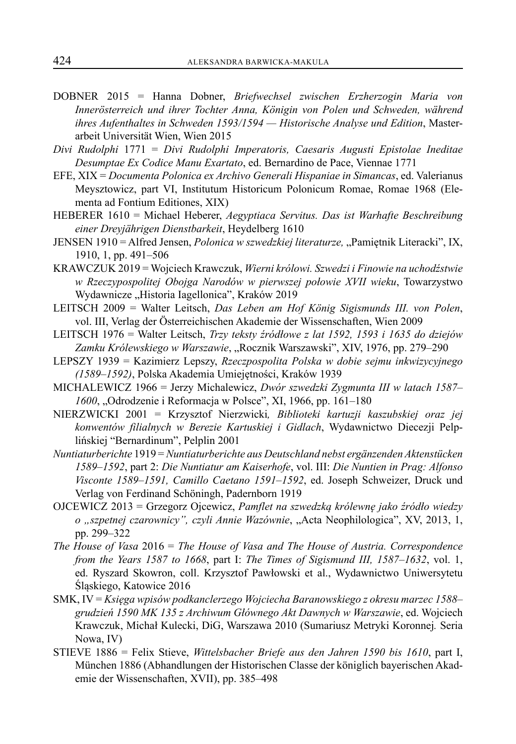- DOBNER 2015 = Hanna Dobner, *Briefwechsel zwischen Erzherzogin Maria von Innerösterreich und ihrer Tochter Anna, Königin von Polen und Schweden, während ihres Aufenthaltes in Schweden 1593/1594 — Historische Analyse und Edition*, Masterarbeit Universität Wien, Wien 2015
- *Divi Rudolphi* 1771 = *Divi Rudolphi Imperatoris, Caesaris Augusti Epistolae Ineditae Desumptae Ex Codice Manu Exartato*, ed. Bernardino de Pace, Viennae 1771
- EFE, XIX = *Documenta Polonica ex Archivo Generali Hispaniae in Simancas*, ed. Valerianus Meysztowicz, part VI, Institutum Historicum Polonicum Romae, Romae 1968 (Elementa ad Fontium Editiones, XIX)
- HEBERER 1610 = Michael Heberer, *Aegyptiaca Servitus. Das ist Warhafte Beschreibung einer Dreyjährigen Dienstbarkeit*, Heydelberg 1610
- JENSEN 1910 = Alfred Jensen, *Polonica w szwedzkiej literaturze*, "Pamiętnik Literacki", IX, 1910, 1, pp. 491–506
- KRAWCZUK 2019 = Wojciech Krawczuk, *Wierni królowi. Szwedzi i Finowie na uchodźstwie w Rzeczypospolitej Obojga Narodów w pierwszej połowie XVII wieku*, Towarzystwo Wydawnicze "Historia Iagellonica", Kraków 2019
- LEITSCH 2009 = Walter Leitsch, *Das Leben am Hof König Sigismunds III. von Polen*, vol. III, Verlag der Österreichischen Akademie der Wissenschaften, Wien 2009
- LEITSCH 1976 = Walter Leitsch, *Trzy teksty źródłowe z lat 1592, 1593 i 1635 do dziejów*  Zamku Królewskiego w Warszawie, "Rocznik Warszawski", XIV, 1976, pp. 279–290
- LEPSZY 1939 = Kazimierz Lepszy, *Rzeczpospolita Polska w dobie sejmu inkwizycyjnego (1589–1592)*, Polska Akademia Umiejętności, Kraków 1939
- MICHALEWICZ 1966 = Jerzy Michalewicz, *Dwór szwedzki Zygmunta III w latach 1587–* 1600, "Odrodzenie i Reformacja w Polsce", XI, 1966, pp. 161–180
- NIERZWICKI 2001 = Krzysztof Nierzwicki*, Biblioteki kartuzji kaszubskiej oraz jej konwentów filialnych w Berezie Kartuskiej i Gidlach*, Wydawnictwo Diecezji Pelplińskiej "Bernardinum", Pelplin 2001
- *Nuntiaturberichte* 1919 = *Nuntiaturberichte aus Deutschland nebst ergänzenden Aktenstücken 1589–1592*, part 2: *Die Nuntiatur am Kaiserhofe*, vol. III: *Die Nuntien in Prag: Alfonso Visconte 1589–1591, Camillo Caetano 1591–1592*, ed. Joseph Schweizer, Druck und Verlag von Ferdinand Schöningh, Padernborn 1919
- OJCEWICZ 2013 = Grzegorz Ojcewicz, *Pamflet na szwedzką królewnę jako źródło wiedzy o "szpetnej czarownicy", czyli Annie Wazównie*, "Acta Neophilologica", XV, 2013, 1, pp. 299–322
- *The House of Vasa* 2016 = *The House of Vasa and The House of Austria. Correspondence from the Years 1587 to 1668*, part I: *The Times of Sigismund III, 1587–1632*, vol. 1, ed. Ryszard Skowron, coll. Krzysztof Pawłowski et al., Wydawnictwo Uniwersytetu Śląskiego, Katowice 2016
- SMK, IV = *Księga wpisów podkanclerzego Wojciecha Baranowskiego z okresu marzec 1588– grudzień 1590 MK 135 z Archiwum Głównego Akt Dawnych w Warszawie*, ed. Wojciech Krawczuk, Michał Kulecki, DiG, Warszawa 2010 (Sumariusz Metryki Koronnej*.* Seria Nowa, IV)
- STIEVE 1886 = Felix Stieve, *Wittelsbacher Briefe aus den Jahren 1590 bis 1610*, part I, München 1886 (Abhandlungen der Historischen Classe der königlich bayerischen Akademie der Wissenschaften, XVII), pp. 385–498